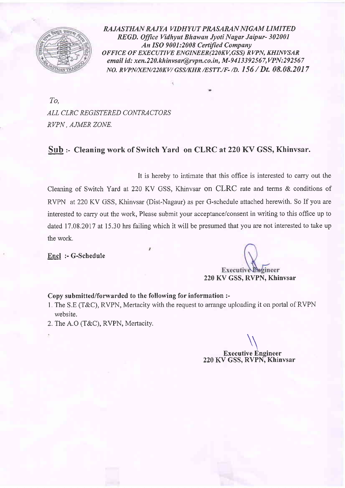

RAJASTHAN RAJYA VIDHYUT PRASARAN NIGAM LIMITED REGD. Office Vidhyut Bhawan Jyoti Nagar Jaipur- 302001 An ISO 9001:2008 Certified Company OFFICE OF EXECUTIVE ENGINEER(22OKV,GSS) RVPN, KHINVSAR email id: xen.220.khinvsar@rvpn.co.in, M-9413392567,VPN:292567 NO. RVPN/XEN/220KV/ GSS/KHR /ESTT./F- /D. 156 / Dt. 08.08.2017

To, ALL CLRC REGISTERED CONTRACTORS RVPN, AJMER ZONE.

#### Sub :- Cleaning work of Switch Yard on CLRC at 220 KV GSS, Khinvsar.

It is hereby to intimate that this office is interested to carry out the Cleaning of Switch Yard at 220 KV GSS, Klinvsar on CLRC rate and terms & conditions of RVPN at 220 KV GSS, Khinvsar (Dist-Nagaur) as per G-schedule attached herewith. So If you are interested to carry out the work, Please submit your acceptance/consent in writing to this office up to dated 17.08.2017 at 15.30 hrs failing which it will be presumed that you are not interested to take up the work.

Encl :- G-Schedule

Executive Engineer

# 220 KV GSS, RVPN, Khinvsar

Copy submitted/forwarded to the following for information :-

- 1. The S.E (T&C), RVPN, Mertacity with the request to arrange uploading it on portal of RVPN website.
- 2. The A.O (T&C), RVPN, Mertacity.

 $\sqrt{}$ Executive Engineer 220 KV GSS, RVPN, Khinvsar